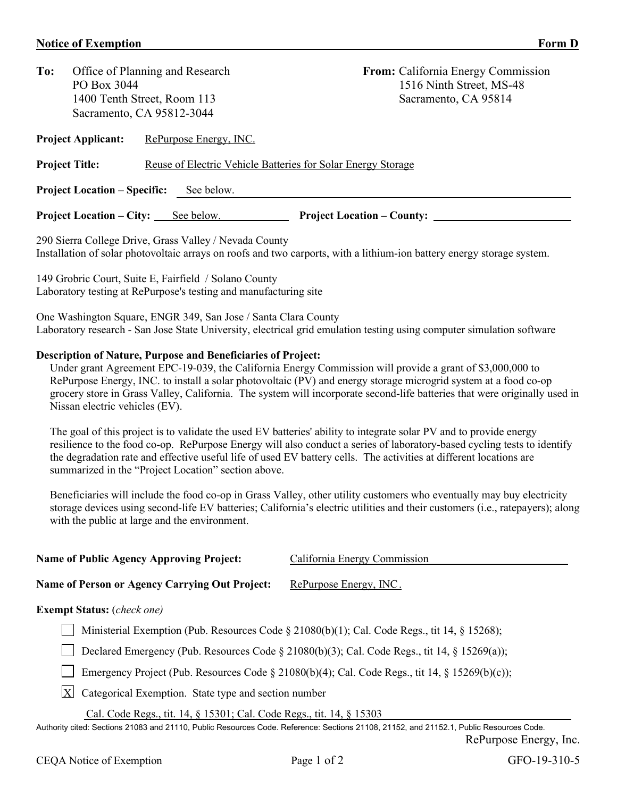## **Notice of Exemption** Form D

|                                                                                       |                        | <b>From:</b> California Energy Commission                                                                                      |  |  |  |
|---------------------------------------------------------------------------------------|------------------------|--------------------------------------------------------------------------------------------------------------------------------|--|--|--|
| PO Box 3044                                                                           |                        | 1516 Ninth Street, MS-48                                                                                                       |  |  |  |
|                                                                                       |                        | Sacramento, CA 95814                                                                                                           |  |  |  |
|                                                                                       |                        |                                                                                                                                |  |  |  |
| <b>Project Applicant:</b>                                                             | RePurpose Energy, INC. |                                                                                                                                |  |  |  |
| Reuse of Electric Vehicle Batteries for Solar Energy Storage<br><b>Project Title:</b> |                        |                                                                                                                                |  |  |  |
| <b>Project Location – Specific:</b><br>See below.                                     |                        |                                                                                                                                |  |  |  |
|                                                                                       | See below.             | <b>Project Location – County:</b>                                                                                              |  |  |  |
|                                                                                       |                        | Office of Planning and Research<br>1400 Tenth Street, Room 113<br>Sacramento, CA 95812-3044<br><b>Project Location – City:</b> |  |  |  |

290 Sierra College Drive, Grass Valley / Nevada County Installation of solar photovoltaic arrays on roofs and two carports, with a lithium-ion battery energy storage system.

149 Grobric Court, Suite E, Fairfield / Solano County Laboratory testing at RePurpose's testing and manufacturing site

One Washington Square, ENGR 349, San Jose / Santa Clara County Laboratory research - San Jose State University, electrical grid emulation testing using computer simulation software

## **Description of Nature, Purpose and Beneficiaries of Project:**

Under grant Agreement EPC-19-039, the California Energy Commission will provide a grant of \$3,000,000 to RePurpose Energy, INC. to install a solar photovoltaic (PV) and energy storage microgrid system at a food co-op grocery store in Grass Valley, California. The system will incorporate second-life batteries that were originally used in Nissan electric vehicles (EV).

The goal of this project is to validate the used EV batteries' ability to integrate solar PV and to provide energy resilience to the food co-op. RePurpose Energy will also conduct a series of laboratory-based cycling tests to identify the degradation rate and effective useful life of used EV battery cells. The activities at different locations are summarized in the "Project Location" section above.

Beneficiaries will include the food co-op in Grass Valley, other utility customers who eventually may buy electricity storage devices using second-life EV batteries; California's electric utilities and their customers (i.e., ratepayers); along with the public at large and the environment.

| <b>Name of Public Agency Approving Project:</b> | California Energy Commission |
|-------------------------------------------------|------------------------------|
| Name of Person or Agency Carrying Out Project:  | RePurpose Energy, INC.       |
| <b>Exempt Status:</b> ( <i>check one</i> )      |                              |

## Ministerial Exemption (Pub. Resources Code  $\S 21080(b)(1)$ ; Cal. Code Regs., tit 14,  $\S 15268$ );

Declared Emergency (Pub. Resources Code  $\S$  21080(b)(3); Cal. Code Regs., tit 14,  $\S$  15269(a));

Emergency Project (Pub. Resources Code § 21080(b)(4); Cal. Code Regs., tit 14, § 15269(b)(c));

 $|X|$  Categorical Exemption. State type and section number

Cal. Code Regs., tit. 14, § 15301; Cal. Code Regs., tit. 14, § 15303

Authority cited: Sections 21083 and 21110, Public Resources Code. Reference: Sections 21108, 21152, and 21152.1, Public Resources Code. RePurpose Energy, Inc.